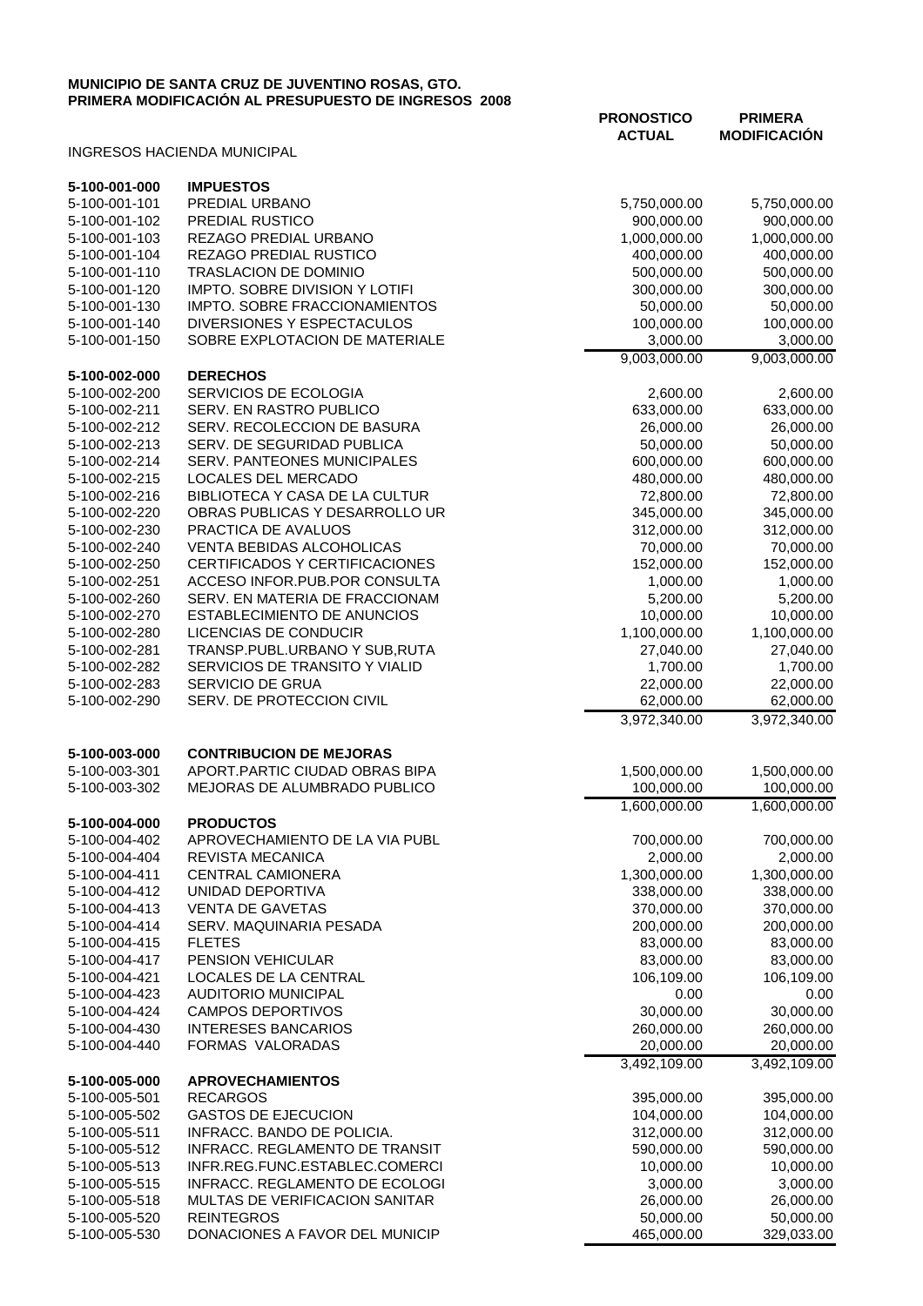## **MUNICIPIO DE SANTA CRUZ DE JUVENTINO ROSAS, GTO. PRIMERA MODIFICACIÓN AL PRESUPUESTO DE INGRESOS 2008**

|                                |                                                                    | <b>PRONOSTICO</b><br><b>ACTUAL</b> | <b>PRIMERA</b><br><b>MODIFICACIÓN</b> |
|--------------------------------|--------------------------------------------------------------------|------------------------------------|---------------------------------------|
|                                | <b>INGRESOS HACIENDA MUNICIPAL</b>                                 |                                    |                                       |
| 5-100-001-000                  | <b>IMPUESTOS</b>                                                   |                                    |                                       |
| 5-100-001-101                  | PREDIAL URBANO                                                     | 5,750,000.00                       | 5,750,000.00                          |
| 5-100-001-102                  | PREDIAL RUSTICO                                                    | 900,000.00                         | 900,000.00                            |
| 5-100-001-103                  | REZAGO PREDIAL URBANO                                              | 1,000,000.00                       | 1,000,000.00                          |
| 5-100-001-104                  | REZAGO PREDIAL RUSTICO                                             | 400,000.00                         | 400,000.00                            |
| 5-100-001-110                  | TRASLACION DE DOMINIO                                              | 500,000.00                         | 500,000.00                            |
| 5-100-001-120                  | <b>IMPTO. SOBRE DIVISION Y LOTIFI</b>                              | 300,000.00                         | 300,000.00                            |
| 5-100-001-130                  | <b>IMPTO. SOBRE FRACCIONAMIENTOS</b><br>DIVERSIONES Y ESPECTACULOS | 50,000.00<br>100,000.00            | 50,000.00                             |
| 5-100-001-140<br>5-100-001-150 | SOBRE EXPLOTACION DE MATERIALE                                     | 3,000.00                           | 100,000.00<br>3,000.00                |
|                                |                                                                    | 9,003,000.00                       | 9,003,000.00                          |
| 5-100-002-000                  | <b>DERECHOS</b>                                                    |                                    |                                       |
| 5-100-002-200                  | SERVICIOS DE ECOLOGIA                                              | 2,600.00                           | 2,600.00                              |
| 5-100-002-211                  | SERV. EN RASTRO PUBLICO                                            | 633,000.00                         | 633,000.00                            |
| 5-100-002-212                  | SERV. RECOLECCION DE BASURA                                        | 26,000.00                          | 26,000.00                             |
| 5-100-002-213                  | SERV. DE SEGURIDAD PUBLICA                                         | 50,000.00                          | 50,000.00                             |
| 5-100-002-214                  | SERV. PANTEONES MUNICIPALES<br>LOCALES DEL MERCADO                 | 600,000.00                         | 600,000.00                            |
| 5-100-002-215<br>5-100-002-216 | BIBLIOTECA Y CASA DE LA CULTUR                                     | 480,000.00<br>72,800.00            | 480,000.00<br>72,800.00               |
| 5-100-002-220                  | OBRAS PUBLICAS Y DESARROLLO UR                                     | 345,000.00                         | 345,000.00                            |
| 5-100-002-230                  | PRACTICA DE AVALUOS                                                | 312,000.00                         | 312,000.00                            |
| 5-100-002-240                  | <b>VENTA BEBIDAS ALCOHOLICAS</b>                                   | 70,000.00                          | 70,000.00                             |
| 5-100-002-250                  | CERTIFICADOS Y CERTIFICACIONES                                     | 152,000.00                         | 152,000.00                            |
| 5-100-002-251                  | ACCESO INFOR.PUB.POR CONSULTA                                      | 1,000.00                           | 1,000.00                              |
| 5-100-002-260                  | SERV. EN MATERIA DE FRACCIONAM                                     | 5,200.00                           | 5,200.00                              |
| 5-100-002-270                  | <b>ESTABLECIMIENTO DE ANUNCIOS</b>                                 | 10,000.00                          | 10,000.00                             |
| 5-100-002-280                  | LICENCIAS DE CONDUCIR                                              | 1,100,000.00                       | 1,100,000.00                          |
| 5-100-002-281                  | TRANSP.PUBL.URBANO Y SUB, RUTA                                     | 27,040.00                          | 27,040.00                             |
| 5-100-002-282                  | SERVICIOS DE TRANSITO Y VIALID                                     | 1,700.00                           | 1,700.00                              |
| 5-100-002-283                  | SERVICIO DE GRUA                                                   | 22,000.00                          | 22,000.00                             |
| 5-100-002-290                  | SERV. DE PROTECCION CIVIL                                          | 62,000.00<br>3,972,340.00          | 62,000.00<br>3,972,340.00             |
|                                |                                                                    |                                    |                                       |
| 5-100-003-000                  | <b>CONTRIBUCION DE MEJORAS</b>                                     |                                    |                                       |
| 5-100-003-301                  | APORT.PARTIC CIUDAD OBRAS BIPA<br>MEJORAS DE ALUMBRADO PUBLICO     | 1,500,000.00                       | 1,500,000.00<br>100,000.00            |
| 5-100-003-302                  |                                                                    | 100,000.00                         |                                       |
| 5-100-004-000                  | <b>PRODUCTOS</b>                                                   | 1,600,000.00                       | 1,600,000.00                          |
| 5-100-004-402                  | APROVECHAMIENTO DE LA VIA PUBL                                     | 700,000.00                         | 700,000.00                            |
| 5-100-004-404                  | <b>REVISTA MECANICA</b>                                            | 2,000.00                           | 2,000.00                              |
| 5-100-004-411                  | <b>CENTRAL CAMIONERA</b>                                           | 1,300,000.00                       | 1,300,000.00                          |
| 5-100-004-412                  | UNIDAD DEPORTIVA                                                   | 338,000.00                         | 338,000.00                            |
| 5-100-004-413                  | <b>VENTA DE GAVETAS</b>                                            | 370,000.00                         | 370,000.00                            |
| 5-100-004-414                  | SERV. MAQUINARIA PESADA                                            | 200,000.00                         | 200,000.00                            |
| 5-100-004-415                  | <b>FLETES</b>                                                      | 83,000.00                          | 83,000.00                             |
| 5-100-004-417                  | PENSION VEHICULAR                                                  | 83,000.00                          | 83,000.00                             |
| 5-100-004-421                  | LOCALES DE LA CENTRAL                                              | 106,109.00                         | 106,109.00                            |
| 5-100-004-423                  | <b>AUDITORIO MUNICIPAL</b>                                         | 0.00                               | 0.00                                  |
| 5-100-004-424                  | <b>CAMPOS DEPORTIVOS</b><br><b>INTERESES BANCARIOS</b>             | 30,000.00<br>260,000.00            | 30,000.00<br>260,000.00               |
| 5-100-004-430<br>5-100-004-440 | FORMAS VALORADAS                                                   | 20,000.00                          | 20,000.00                             |
|                                |                                                                    | 3,492,109.00                       | 3,492,109.00                          |
| 5-100-005-000                  | <b>APROVECHAMIENTOS</b>                                            |                                    |                                       |
| 5-100-005-501                  | <b>RECARGOS</b>                                                    | 395,000.00                         | 395,000.00                            |
| 5-100-005-502                  | <b>GASTOS DE EJECUCION</b>                                         | 104,000.00                         | 104,000.00                            |
| 5-100-005-511                  | INFRACC. BANDO DE POLICIA.                                         | 312,000.00                         | 312,000.00                            |
| 5-100-005-512                  | INFRACC. REGLAMENTO DE TRANSIT                                     | 590,000.00                         | 590,000.00                            |
| 5-100-005-513                  | INFR.REG.FUNC.ESTABLEC.COMERCI                                     | 10,000.00                          | 10,000.00                             |
| 5-100-005-515                  | INFRACC. REGLAMENTO DE ECOLOGI                                     | 3,000.00                           | 3,000.00                              |
| 5-100-005-518                  | MULTAS DE VERIFICACION SANITAR                                     | 26,000.00                          | 26,000.00                             |
| 5-100-005-520<br>5-100-005-530 | <b>REINTEGROS</b><br>DONACIONES A FAVOR DEL MUNICIP                | 50,000.00<br>465,000.00            | 50,000.00<br>329,033.00               |
|                                |                                                                    |                                    |                                       |